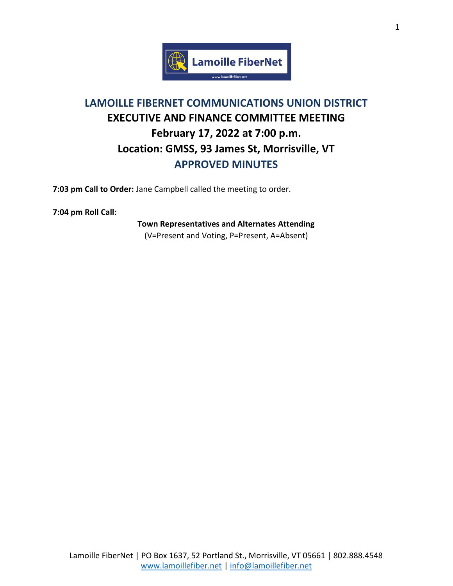

## **LAMOILLE FIBERNET COMMUNICATIONS UNION DISTRICT EXECUTIVE AND FINANCE COMMITTEE MEETING February 17, 2022 at 7:00 p.m. Location: GMSS, 93 James St, Morrisville, VT APPROVED MINUTES**

**7:03 pm Call to Order:** Jane Campbell called the meeting to order.

**7:04 pm Roll Call:**

**Town Representatives and Alternates Attending** (V=Present and Voting, P=Present, A=Absent)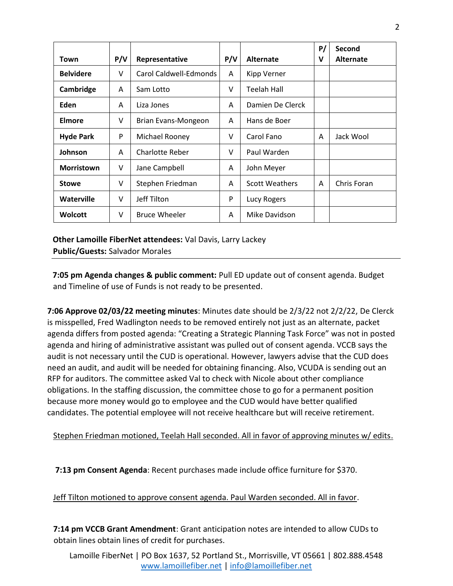|                   |        |                        |     |                       | P/ | Second           |
|-------------------|--------|------------------------|-----|-----------------------|----|------------------|
| Town              | P/V    | Representative         | P/V | <b>Alternate</b>      | v  | <b>Alternate</b> |
| <b>Belvidere</b>  | V      | Carol Caldwell-Edmonds | A   | Kipp Verner           |    |                  |
| Cambridge         | A      | Sam Lotto              | v   | Teelah Hall           |    |                  |
| Eden              | A      | Liza Jones             | A   | Damien De Clerck      |    |                  |
| Elmore            | $\vee$ | Brian Evans-Mongeon    | A   | Hans de Boer          |    |                  |
| <b>Hyde Park</b>  | P      | Michael Rooney         | v   | Carol Fano            | A  | Jack Wool        |
| Johnson           | A      | Charlotte Reber        | V   | Paul Warden           |    |                  |
| <b>Morristown</b> | $\vee$ | Jane Campbell          | A   | John Meyer            |    |                  |
| <b>Stowe</b>      | V      | Stephen Friedman       | A   | <b>Scott Weathers</b> | A  | Chris Foran      |
| Waterville        | V      | Jeff Tilton            | P   | Lucy Rogers           |    |                  |
| <b>Wolcott</b>    | v      | <b>Bruce Wheeler</b>   | A   | Mike Davidson         |    |                  |

**Other Lamoille FiberNet attendees:** Val Davis, Larry Lackey **Public/Guests:** Salvador Morales

**7:05 pm Agenda changes & public comment:** Pull ED update out of consent agenda. Budget and Timeline of use of Funds is not ready to be presented.

**7:06 Approve 02/03/22 meeting minutes**: Minutes date should be 2/3/22 not 2/2/22, De Clerck is misspelled, Fred Wadlington needs to be removed entirely not just as an alternate, packet agenda differs from posted agenda: "Creating a Strategic Planning Task Force" was not in posted agenda and hiring of administrative assistant was pulled out of consent agenda. VCCB says the audit is not necessary until the CUD is operational. However, lawyers advise that the CUD does need an audit, and audit will be needed for obtaining financing. Also, VCUDA is sending out an RFP for auditors. The committee asked Val to check with Nicole about other compliance obligations. In the staffing discussion, the committee chose to go for a permanent position because more money would go to employee and the CUD would have better qualified candidates. The potential employee will not receive healthcare but will receive retirement.

Stephen Friedman motioned, Teelah Hall seconded. All in favor of approving minutes w/ edits.

**7:13 pm Consent Agenda**: Recent purchases made include office furniture for \$370.

Jeff Tilton motioned to approve consent agenda. Paul Warden seconded. All in favor.

**7:14 pm VCCB Grant Amendment**: Grant anticipation notes are intended to allow CUDs to obtain lines obtain lines of credit for purchases.

Lamoille FiberNet | PO Box 1637, 52 Portland St., Morrisville, VT 05661 | 802.888.4548 [www.lamoillefiber.net](http://www.lamoillefiber.net/) | [info@lamoillefiber.net](mailto:info@lamoillefiber.net)